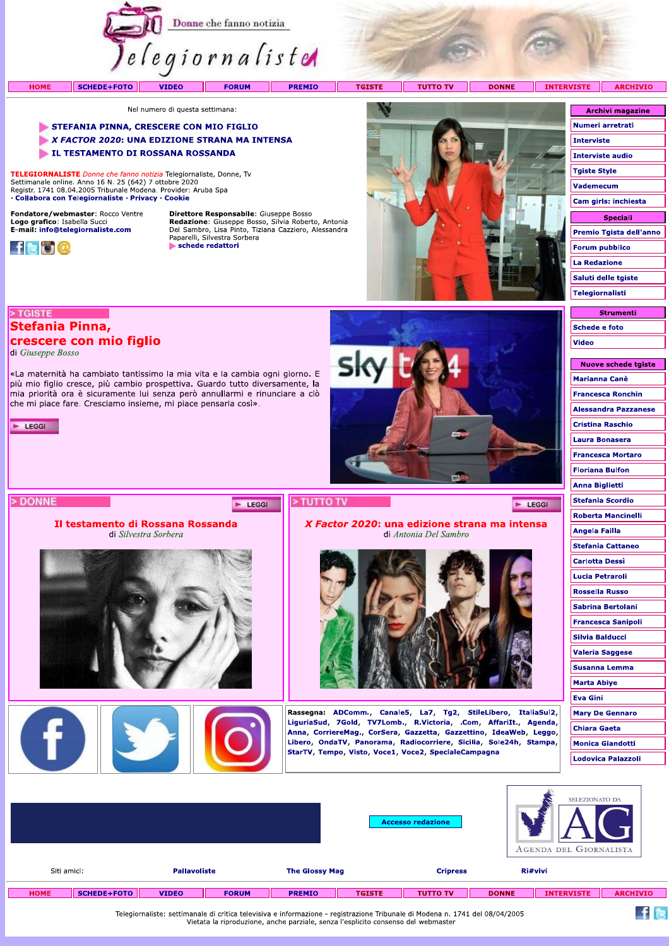

**PREMIO** 

Sł

> TUTTO TV

**TGISTE** T T

**TUTTO TV DONNE**  INTERVISTE ARCHIVIO

Nel numero di questa settimana:

#### STEFANIA PINNA, CRESCERE CON MIO FIGLIO

X FACTOR 2020: UNA EDIZIONE STRANA MA INTENSA

«La maternità ha cambiato tantissimo la mia vita e la cambia ogni giorno. E più mio figlio cresce, più cambio prospettiva. Guardo tutto diversamente, la mia priorità ora è sicuramente lui senza però annullarmi e rinunciare a ciò

che mi piace fare. Cresciamo insieme, mi piace pensarla così».

Il testamento di Rossana Rossanda

di Silvestra Sorbera

LE TESTAMENTO DI ROSSANA ROSSANDA

TELEGIORNALISTE Donne che fanno notizia Telegiornaliste, Donne, Tv Settimanale online. Anno 16 N. 25 (642) 7 ottobre 2020<br>Registr. 1741 08.04.2005 Tribunale Modena. Provider: Aruba Spa · Collabora con Telegiornaliste · Privacy · Cookie

Fondatore/webmaster: Rocco Ventre Logo grafico: Isabella Succi<br>E-mail: info@telegiornaliste.com



> TGISTE

 $\blacktriangleright$  LEGGI

> DONNE

Stefania Pinna,

di Giuseppe Bosso

crescere con mio figlio

**HOME** 

Direttore Responsabile: Giuseppe Bosso **Redazione:** Giuseppe Bosso, Silvia Roberto, Antonia<br>Del Sambro, Lisa Pinto, Tiziana Cazziero, Alessandra<br>Paparelli, Silvestra Sorbera schede redattori

E LEGGI



X Factor 2020: una edizione strana ma intensa

di Antonia Del Sambro

Rassegna: ADComm., Canale5, La7, Tg2, StileLibero, ItaliaSul2, LiguriaSud, 7Gold, TV7Lomb., R.Victoria, .Com, AffariIt., Agenda, Anna, CorriereMag., CorSera, Gazzetta, Gazzettino, IdeaWeb, Leggo, Libero, OndaTV, Panorama, Radiocorriere, Sicilia, Sole24h, Stampa,

StarTV, Tempo, Visto, Voce1, Voce2, SpecialeCampagna

| <b>Archivi magazine</b> |
|-------------------------|
| Numeri arretrati        |
| Interviste              |
| Interviste audio        |
| <b>Tgiste Style</b>     |
| Vademecum               |
| Cam girls: inchiesta    |
| <b>Speciali</b>         |
| Premio Tgista dell'anno |
| <b>Forum pubblico</b>   |
| <b>La Redazione</b>     |
| Saluti delle tgiste     |
| <b>Telegiornalisti</b>  |
|                         |

| ----------    |
|---------------|
| Schede e foto |
| <b>Video</b>  |
|               |

 $244$ - 7

| <b>NUOVE SCREGE TOISTE</b>  |
|-----------------------------|
| <b>Marianna Canè</b>        |
| <b>Francesca Ronchin</b>    |
| <b>Alessandra Pazzanese</b> |
| <b>Cristina Raschio</b>     |
| <b>Laura Bonasera</b>       |
| <b>Francesca Mortaro</b>    |
| <b>Floriana Bulfon</b>      |
| <b>Anna Biglietti</b>       |
| <b>Stefania Scordio</b>     |
| <b>Roberta Mancinelli</b>   |
| <b>Angela Failla</b>        |
| <b>Stefania Cattaneo</b>    |
| <b>Carlotta Dessi</b>       |
| <b>Lucia Petraroli</b>      |
| <b>Rossella Russo</b>       |
| <b>Sabrina Bertolani</b>    |
| <b>Francesca Sanipoli</b>   |
| <b>Silvia Balducci</b>      |
| <b>Valeria Saggese</b>      |
| <b>Susanna Lemma</b>        |
| <b>Marta Abiye</b>          |
| <b>Eva Gini</b>             |
| <b>Mary De Gennaro</b>      |
| <b>Chiara Gaeta</b>         |
| <b>Monica Giandotti</b>     |
| Lodovica Palazzoli          |
|                             |

 $f$  is

 $\blacktriangleright$  LEGGI

|             |             |                     |              |                       |               | <b>Accesso redazione</b> |              | SELEZIONATO DA<br>- 1<br>AGENDA DEL GIORNALISTA |                 |
|-------------|-------------|---------------------|--------------|-----------------------|---------------|--------------------------|--------------|-------------------------------------------------|-----------------|
| Siti amici: |             | <b>Pallavoliste</b> |              | <b>The Glossy Mag</b> |               | <b>Cripress</b>          |              | Ri#vivi                                         |                 |
| <b>HOME</b> | SCHEDE+FOTO | <b>VIDEO</b>        | <b>FORUM</b> | <b>PREMIO</b>         | <b>TGISTE</b> | <b>TUTTO TV</b>          | <b>DONNE</b> | <b>INTERVISTE</b>                               | <b>ARCHIVIO</b> |

Telegiornaliste: settimanale di critica televisiva e informazione - registrazione Tribunale di Modena n. 1741 del 08/04/2005<br>Vietata la riproduzione, anche parziale, senza l'esplicito consenso del webmaster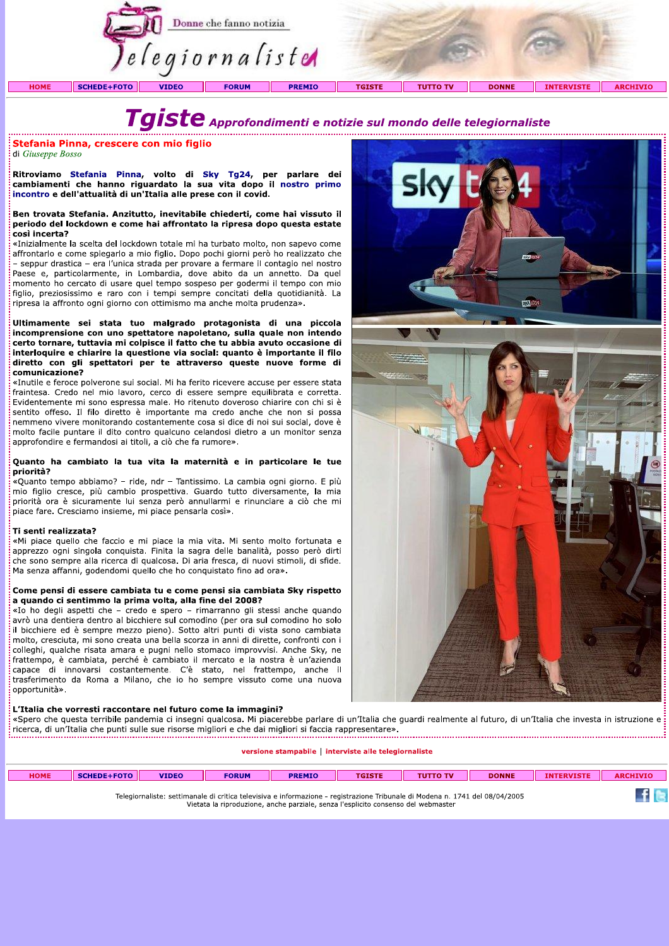

# Tgiste Approfondimenti e notizie sul mondo delle telegiornaliste

#### Stefania Pinna, crescere con mio figlio

di Giuseppe Bosso

Ritroviamo Stefania Pinna, volto di Sky Tg24, per parlare dei cambiamenti che hanno riguardato la sua vita dopo il nostro primo incontro e dell'attualità di un'Italia alle prese con il covid.

#### Ben trovata Stefania. Anzitutto, inevitabile chiederti, come hai vissuto il periodo del lockdown e come hai affrontato la ripresa dopo questa estate così incerta?

«Inizialmente la scelta del lockdown totale mi ha turbato molto, non sapevo come affrontarlo e come spiegarlo a mio figlio. Dopo pochi giorni però ho realizzato che - seppur drastica - era l'unica strada per provare a fermare il contagio nel nostro Paese e, particolarmente, in Lombardia, dove abito da un annetto. Da quel momento ho cercato di usare quel tempo sospeso per godermi il tempo con mio figlio, preziosissimo e raro con i tempi sempre concitati della quotidianità. La ripresa la affronto ogni giorno con ottimismo ma anche molta prudenza».

Ultimamente sei stata tuo malgrado protagonista di una piccola incomprensione con uno spettatore napoletano, sulla quale non intendo certo tornare, tuttavia mi colpisce il fatto che tu abbia avuto occasione di interloquire e chiarire la questione via social: quanto è importante il filo diretto con gli spettatori per te attraverso queste nuove forme di comunicazione?

«Inutile e feroce polverone sui social. Mi ha ferito ricevere accuse per essere stata fraintesa. Credo nel mio lavoro, cerco di essere sempre equilibrata e corretta. Evidentemente mi sono espressa male. Ho ritenuto doveroso chiarire con chi si è sentito offeso. Il filo diretto è importante ma credo anche che non si possa nemmeno vivere monitorando costantemente cosa si dice di noi sui social, dove è molto facile puntare il dito contro qualcuno celandosi dietro a un monitor senza approfondire e fermandosi ai titoli, a ciò che fa rumore».

#### Quanto ha cambiato la tua vita la maternità e in particolare le tue priorità?

«Quanto tempo abbiamo? - ride, ndr - Tantissimo. La cambia ogni giorno. E più mio figlio cresce, più cambio prospettiva. Guardo tutto diversamente, la mia priorità ora è sicuramente lui senza però annullarmi e rinunciare a ciò che mi piace fare. Cresciamo insieme, mi piace pensarla così».

#### Ti senti realizzata?

«Mi piace quello che faccio e mi piace la mia vita. Mi sento molto fortunata e apprezzo ogni singola conquista. Finita la sagra delle banalità, posso però dirti che sono sempre alla ricerca di qualcosa. Di aria fresca, di nuovi stimoli, di sfide. Ma senza affanni, godendomi quello che ho conquistato fino ad ora».

#### Come pensi di essere cambiata tu e come pensi sia cambiata Sky rispetto a quando ci sentimmo la prima volta, alla fine del 2008?

«Io ho degli aspetti che - credo e spero - rimarranno gli stessi anche quando avrò una dentiera dentro al bicchiere sul comodino (per ora sul comodino ho solo il bicchiere ed è sempre mezzo pieno). Sotto altri punti di vista sono cambiata molto, cresciuta, mi sono creata una bella scorza in anni di dirette, confronti con i colleghi, qualche risata amara e pugni nello stomaco improvvisi. Anche Sky, ne frattempo, è cambiata, perché è cambiato il mercato e la nostra è un'azienda capace di innovarsi costantemente. C'è stato, nel frattempo, anche il trasferimento da Roma a Milano, che io ho sempre vissuto come una nuova opportunità».

#### L'Italia che vorresti raccontare nel futuro come la immagini?

«Spero che questa terribile pandemia ci insegni qualcosa. Mi piacerebbe parlare di un'Italia che guardi realmente al futuro, di un'Italia che investa in istruzione e e Spero che questa terribile panuemia u macgin qualcosa, en piace coro panale si su secondo sulla della provis<br>- ricerca, di un'Italia che punti sulle sue risorse migliori e che dai migliori si faccia rappresentare».<br>-----

#### versione stampabile | interviste alle telegiornaliste

| <b>HOME</b> | SCHEDE+FOTO | <b>VIDEO</b> | <b>FORUM</b>                                                                                                                                                                                                      | <b>PREMIO</b> | <b>TGISTE</b> | <b>TUTTO TV</b> | <b>DONNE</b> | <b>INTERVISTE</b> | <b>ARCHIVIO</b> |
|-------------|-------------|--------------|-------------------------------------------------------------------------------------------------------------------------------------------------------------------------------------------------------------------|---------------|---------------|-----------------|--------------|-------------------|-----------------|
|             |             |              | Telegiornaliste: settimanale di critica televisiva e informazione - registrazione Tribunale di Modena n. 1741 del 08/04/2005<br>Vietata la riproduzione, anche parziale, senza l'esplicito consenso del webmaster |               |               |                 |              |                   |                 |

![](_page_1_Picture_19.jpeg)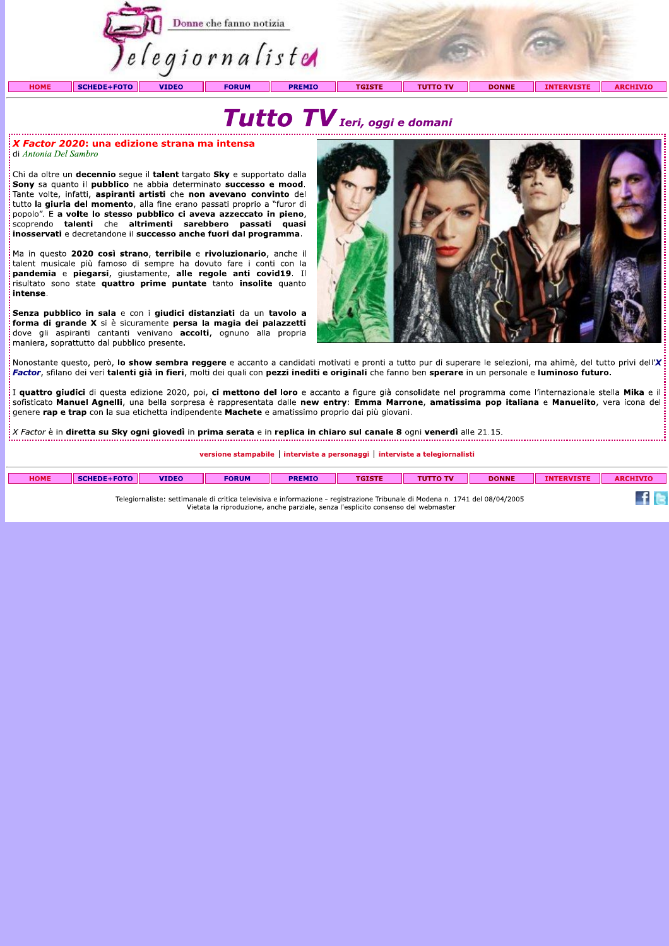![](_page_2_Picture_0.jpeg)

## Tutto TV Ieri, oggi e domani

 $\frac{1}{2}$ *X Factor 2020*: una edizione strana ma intensa di Antonia Del Sambro

Chi da oltre un **decennio** segue il talent targato Sky e supportato dalla Sony sa quanto il pubblico ne abbia determinato successo e mood. Tante volte, infatti, aspiranti artisti che non avevano convinto del tutto la giuria del momento, alla fine erano passati proprio a "furor di popolo". E a volte lo stesso pubblico ci aveva azzeccato in pieno, scoprendo talenti che altrimenti sarebbero passati quasi inosservati e decretandone il successo anche fuori dal programma.

Ma in questo 2020 così strano, terribile e rivoluzionario, anche il talent musicale più famoso di sempre ha dovuto fare i conti con la pandemia e piegarsi, giustamente, alle regole anti covid19. Il risultato sono state quattro prime puntate tanto insolite quanto intense.

.<br>Senza pubblico in sala e con i giudici distanziati da un tavolo a forma di grande X si è sicuramente persa la magia dei palazzetti<br>dove gli aspiranti cantanti venivano accolti, ognuno alla propria maniera, soprattutto dal pubblico presente.

![](_page_2_Picture_6.jpeg)

 $f \approx$ 

.<br>Nonostante questo, però, **lo show sembra reggere** e accanto a candidati motivati e pronti a tutto pur di superare le selezioni, ma ahimè, del tutto privi dell'X<sup>i</sup> Factor, sfilano dei veri talenti già in fieri, molti dei quali con pezzi inediti e originali che fanno ben sperare in un personale e luminoso futuro.

:<br>: I quattro giudici di questa edizione 2020, poi, ci mettono del loro e accanto a figure già consolidate nel programma come l'internazionale stella Mika e il sofisticato Manuel Agnelli, una bella sorpresa è rappresentata dalle new entry: Emma Marrone, amatissima pop italiana e Manuelito, vera icona del genere rap e trap con la sua etichetta indipendente Machete e amatissimo proprio dai più giovani.

X Factor è in diretta su Sky ogni giovedì in prima serata e in replica in chiaro sul canale 8 ogni venerdì alle 21.15.

versione stampabile | interviste a personaggi | interviste a telegiornalisti

| <b>HOME</b> | <b>SCHEDE+FOTO</b> | <b>VIDEO</b> | <b>FORUM</b> | <b>PREMIO</b> | TOICTE<br>GIST. | <b>FOURTH</b> | <b>DONNE</b> | <b>INTE</b><br><b>ERVISTE</b> | <b>ARCHIVIO</b> |
|-------------|--------------------|--------------|--------------|---------------|-----------------|---------------|--------------|-------------------------------|-----------------|
|             |                    |              |              |               |                 |               |              |                               |                 |

Telegiornaliste: settimanale di critica televisiva e informazione - registrazione Tribunale di Modena n. 1741 del 08/04/2005 Vietata la riproduzione, anche parziale, senza l'esplicito consenso del webmaster